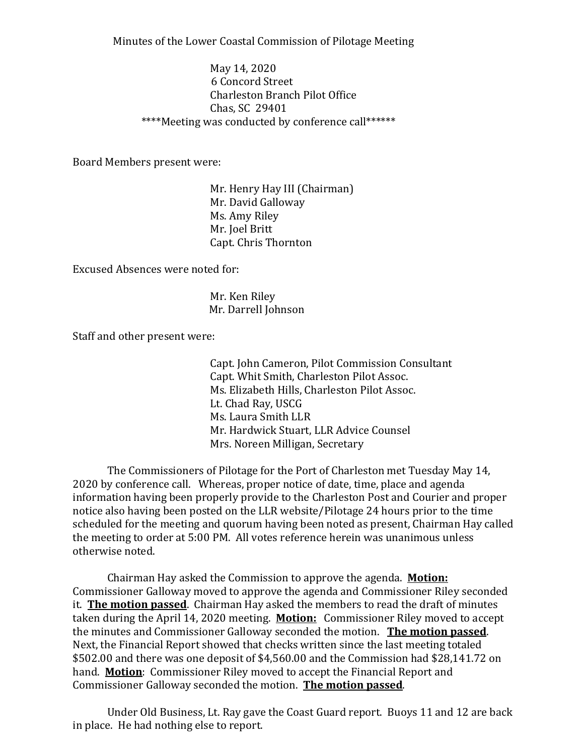Minutes of the Lower Coastal Commission of Pilotage Meeting

May 14, 2020 6 Concord Street Charleston Branch Pilot Office Chas, SC 29401 \*\*\*\*Meeting was conducted by conference call\*\*\*\*\*\*

Board Members present were:

 Mr. Henry Hay III (Chairman) Mr. David Galloway Ms. Amy Riley Mr. Joel Britt Capt. Chris Thornton

Excused Absences were noted for:

 Mr. Ken Riley Mr. Darrell Johnson

Staff and other present were:

 Capt. John Cameron, Pilot Commission Consultant Capt. Whit Smith, Charleston Pilot Assoc. Ms. Elizabeth Hills, Charleston Pilot Assoc. Lt. Chad Ray, USCG Ms. Laura Smith LLR Mr. Hardwick Stuart, LLR Advice Counsel Mrs. Noreen Milligan, Secretary

 The Commissioners of Pilotage for the Port of Charleston met Tuesday May 14, 2020 by conference call. Whereas, proper notice of date, time, place and agenda information having been properly provide to the Charleston Post and Courier and proper notice also having been posted on the LLR website/Pilotage 24 hours prior to the time scheduled for the meeting and quorum having been noted as present, Chairman Hay called the meeting to order at 5:00 PM. All votes reference herein was unanimous unless otherwise noted.

 Chairman Hay asked the Commission to approve the agenda. **Motion:** Commissioner Galloway moved to approve the agenda and Commissioner Riley seconded it. **The motion passed**. Chairman Hay asked the members to read the draft of minutes taken during the April 14, 2020 meeting. **Motion:** Commissioner Riley moved to accept the minutes and Commissioner Galloway seconded the motion. **The motion passed**. Next, the Financial Report showed that checks written since the last meeting totaled \$502.00 and there was one deposit of \$4,560.00 and the Commission had \$28,141.72 on hand. **Motion**: Commissioner Riley moved to accept the Financial Report and Commissioner Galloway seconded the motion. **The motion passed**.

 Under Old Business, Lt. Ray gave the Coast Guard report. Buoys 11 and 12 are back in place. He had nothing else to report.